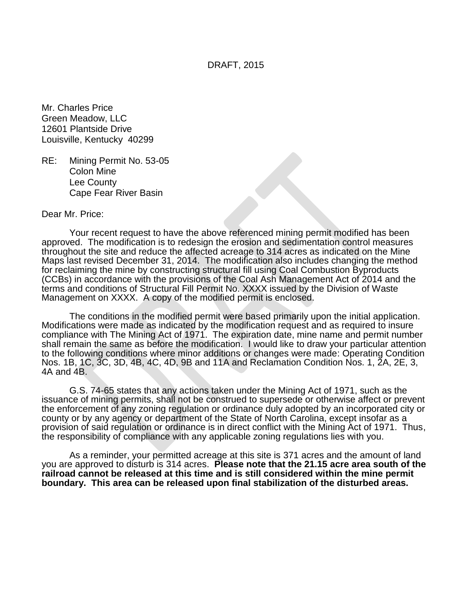DRAFT, 2015

Mr. Charles Price Green Meadow, LLC 12601 Plantside Drive Louisville, Kentucky 40299

RE: Mining Permit No. 53-05 Colon Mine Lee County Cape Fear River Basin

Dear Mr. Price:

Your recent request to have the above referenced mining permit modified has been approved. The modification is to redesign the erosion and sedimentation control measures throughout the site and reduce the affected acreage to 314 acres as indicated on the Mine Maps last revised December 31, 2014. The modification also includes changing the method for reclaiming the mine by constructing structural fill using Coal Combustion Byproducts (CCBs) in accordance with the provisions of the Coal Ash Management Act of 2014 and the terms and conditions of Structural Fill Permit No. XXXX issued by the Division of Waste Management on XXXX. A copy of the modified permit is enclosed.

The conditions in the modified permit were based primarily upon the initial application. Modifications were made as indicated by the modification request and as required to insure compliance with The Mining Act of 1971. The expiration date, mine name and permit number shall remain the same as before the modification. I would like to draw your particular attention to the following conditions where minor additions or changes were made: Operating Condition Nos. 1B, 1C, 3C, 3D, 4B, 4C, 4D, 9B and 11A and Reclamation Condition Nos. 1, 2A, 2E, 3, 4A and 4B.

G.S. 74-65 states that any actions taken under the Mining Act of 1971, such as the issuance of mining permits, shall not be construed to supersede or otherwise affect or prevent the enforcement of any zoning regulation or ordinance duly adopted by an incorporated city or county or by any agency or department of the State of North Carolina, except insofar as a provision of said regulation or ordinance is in direct conflict with the Mining Act of 1971. Thus, the responsibility of compliance with any applicable zoning regulations lies with you.

As a reminder, your permitted acreage at this site is 371 acres and the amount of land you are approved to disturb is 314 acres. **Please note that the 21.15 acre area south of the railroad cannot be released at this time and is still considered within the mine permit boundary. This area can be released upon final stabilization of the disturbed areas.**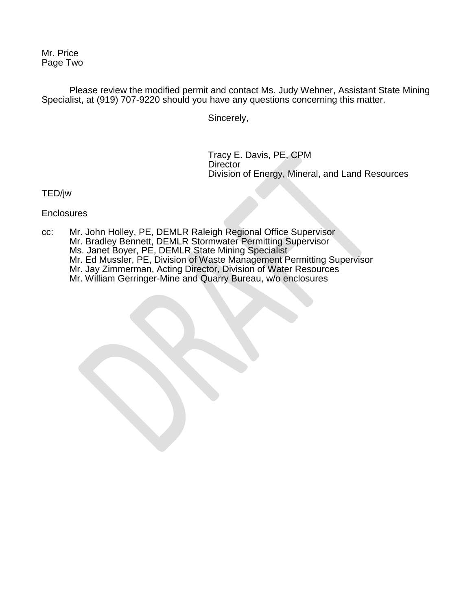Mr. Price Page Two

Please review the modified permit and contact Ms. Judy Wehner, Assistant State Mining Specialist, at (919) 707-9220 should you have any questions concerning this matter.

Sincerely,

Tracy E. Davis, PE, CPM **Director** Division of Energy, Mineral, and Land Resources

TED/jw

**Enclosures** 

cc: Mr. John Holley, PE, DEMLR Raleigh Regional Office Supervisor Mr. Bradley Bennett, DEMLR Stormwater Permitting Supervisor Ms. Janet Boyer, PE, DEMLR State Mining Specialist Mr. Ed Mussler, PE, Division of Waste Management Permitting Supervisor Mr. Jay Zimmerman, Acting Director, Division of Water Resources Mr. William Gerringer-Mine and Quarry Bureau, w/o enclosures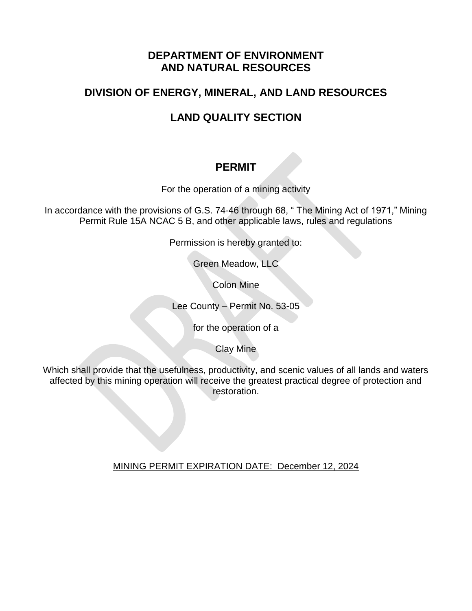## **DEPARTMENT OF ENVIRONMENT AND NATURAL RESOURCES**

## **DIVISION OF ENERGY, MINERAL, AND LAND RESOURCES**

# **LAND QUALITY SECTION**

## **PERMIT**

For the operation of a mining activity

In accordance with the provisions of G.S. 74-46 through 68, " The Mining Act of 1971," Mining Permit Rule 15A NCAC 5 B, and other applicable laws, rules and regulations

Permission is hereby granted to:

Green Meadow, LLC

Colon Mine

Lee County – Permit No. 53-05

for the operation of a

Clay Mine

Which shall provide that the usefulness, productivity, and scenic values of all lands and waters affected by this mining operation will receive the greatest practical degree of protection and restoration.

MINING PERMIT EXPIRATION DATE: December 12, 2024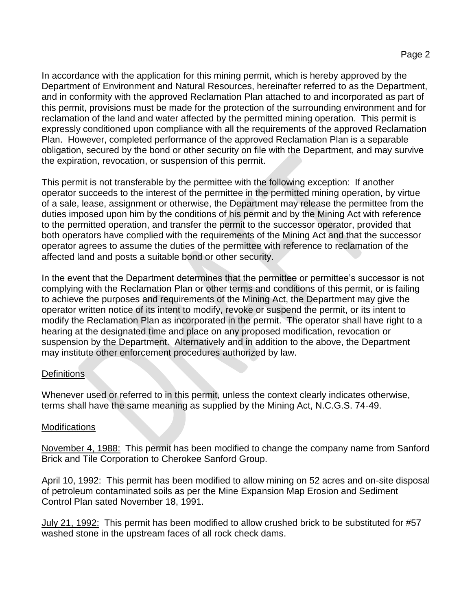In accordance with the application for this mining permit, which is hereby approved by the Department of Environment and Natural Resources, hereinafter referred to as the Department, and in conformity with the approved Reclamation Plan attached to and incorporated as part of this permit, provisions must be made for the protection of the surrounding environment and for reclamation of the land and water affected by the permitted mining operation. This permit is expressly conditioned upon compliance with all the requirements of the approved Reclamation Plan. However, completed performance of the approved Reclamation Plan is a separable obligation, secured by the bond or other security on file with the Department, and may survive the expiration, revocation, or suspension of this permit.

This permit is not transferable by the permittee with the following exception: If another operator succeeds to the interest of the permittee in the permitted mining operation, by virtue of a sale, lease, assignment or otherwise, the Department may release the permittee from the duties imposed upon him by the conditions of his permit and by the Mining Act with reference to the permitted operation, and transfer the permit to the successor operator, provided that both operators have complied with the requirements of the Mining Act and that the successor operator agrees to assume the duties of the permittee with reference to reclamation of the affected land and posts a suitable bond or other security.

In the event that the Department determines that the permittee or permittee's successor is not complying with the Reclamation Plan or other terms and conditions of this permit, or is failing to achieve the purposes and requirements of the Mining Act, the Department may give the operator written notice of its intent to modify, revoke or suspend the permit, or its intent to modify the Reclamation Plan as incorporated in the permit. The operator shall have right to a hearing at the designated time and place on any proposed modification, revocation or suspension by the Department. Alternatively and in addition to the above, the Department may institute other enforcement procedures authorized by law.

### **Definitions**

Whenever used or referred to in this permit, unless the context clearly indicates otherwise, terms shall have the same meaning as supplied by the Mining Act, N.C.G.S. 74-49.

## Modifications

November 4, 1988: This permit has been modified to change the company name from Sanford Brick and Tile Corporation to Cherokee Sanford Group.

April 10, 1992: This permit has been modified to allow mining on 52 acres and on-site disposal of petroleum contaminated soils as per the Mine Expansion Map Erosion and Sediment Control Plan sated November 18, 1991.

July 21, 1992: This permit has been modified to allow crushed brick to be substituted for #57 washed stone in the upstream faces of all rock check dams.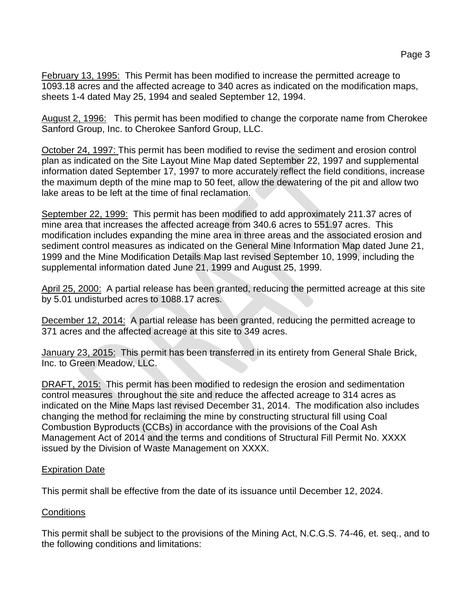February 13, 1995: This Permit has been modified to increase the permitted acreage to 1093.18 acres and the affected acreage to 340 acres as indicated on the modification maps, sheets 1-4 dated May 25, 1994 and sealed September 12, 1994.

August 2, 1996: This permit has been modified to change the corporate name from Cherokee Sanford Group, Inc. to Cherokee Sanford Group, LLC.

October 24, 1997: This permit has been modified to revise the sediment and erosion control plan as indicated on the Site Layout Mine Map dated September 22, 1997 and supplemental information dated September 17, 1997 to more accurately reflect the field conditions, increase the maximum depth of the mine map to 50 feet, allow the dewatering of the pit and allow two lake areas to be left at the time of final reclamation.

September 22, 1999: This permit has been modified to add approximately 211.37 acres of mine area that increases the affected acreage from 340.6 acres to 551.97 acres. This modification includes expanding the mine area in three areas and the associated erosion and sediment control measures as indicated on the General Mine Information Map dated June 21, 1999 and the Mine Modification Details Map last revised September 10, 1999, including the supplemental information dated June 21, 1999 and August 25, 1999.

April 25, 2000: A partial release has been granted, reducing the permitted acreage at this site by 5.01 undisturbed acres to 1088.17 acres.

December 12, 2014: A partial release has been granted, reducing the permitted acreage to 371 acres and the affected acreage at this site to 349 acres.

January 23, 2015: This permit has been transferred in its entirety from General Shale Brick, Inc. to Green Meadow, LLC.

DRAFT, 2015: This permit has been modified to redesign the erosion and sedimentation control measures throughout the site and reduce the affected acreage to 314 acres as indicated on the Mine Maps last revised December 31, 2014. The modification also includes changing the method for reclaiming the mine by constructing structural fill using Coal Combustion Byproducts (CCBs) in accordance with the provisions of the Coal Ash Management Act of 2014 and the terms and conditions of Structural Fill Permit No. XXXX issued by the Division of Waste Management on XXXX.

### Expiration Date

This permit shall be effective from the date of its issuance until December 12, 2024.

## **Conditions**

This permit shall be subject to the provisions of the Mining Act, N.C.G.S. 74-46, et. seq., and to the following conditions and limitations: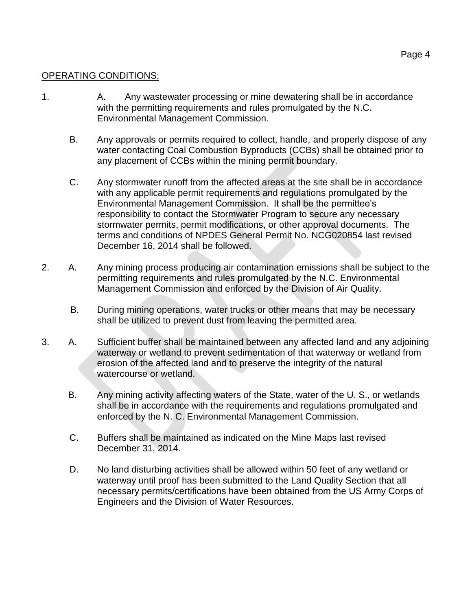### OPERATING CONDITIONS:

- 1. A. Any wastewater processing or mine dewatering shall be in accordance with the permitting requirements and rules promulgated by the N.C. Environmental Management Commission.
	- B. Any approvals or permits required to collect, handle, and properly dispose of any water contacting Coal Combustion Byproducts (CCBs) shall be obtained prior to any placement of CCBs within the mining permit boundary.
	- C. Any stormwater runoff from the affected areas at the site shall be in accordance with any applicable permit requirements and regulations promulgated by the Environmental Management Commission. It shall be the permittee's responsibility to contact the Stormwater Program to secure any necessary stormwater permits, permit modifications, or other approval documents. The terms and conditions of NPDES General Permit No. NCG020854 last revised December 16, 2014 shall be followed.
- 2. A. Any mining process producing air contamination emissions shall be subject to the permitting requirements and rules promulgated by the N.C. Environmental Management Commission and enforced by the Division of Air Quality.
	- B. During mining operations, water trucks or other means that may be necessary shall be utilized to prevent dust from leaving the permitted area.
- 3. A. Sufficient buffer shall be maintained between any affected land and any adjoining waterway or wetland to prevent sedimentation of that waterway or wetland from erosion of the affected land and to preserve the integrity of the natural watercourse or wetland.
	- B. Any mining activity affecting waters of the State, water of the U. S., or wetlands shall be in accordance with the requirements and regulations promulgated and enforced by the N. C. Environmental Management Commission.
	- C. Buffers shall be maintained as indicated on the Mine Maps last revised December 31, 2014.
	- D. No land disturbing activities shall be allowed within 50 feet of any wetland or waterway until proof has been submitted to the Land Quality Section that all necessary permits/certifications have been obtained from the US Army Corps of Engineers and the Division of Water Resources.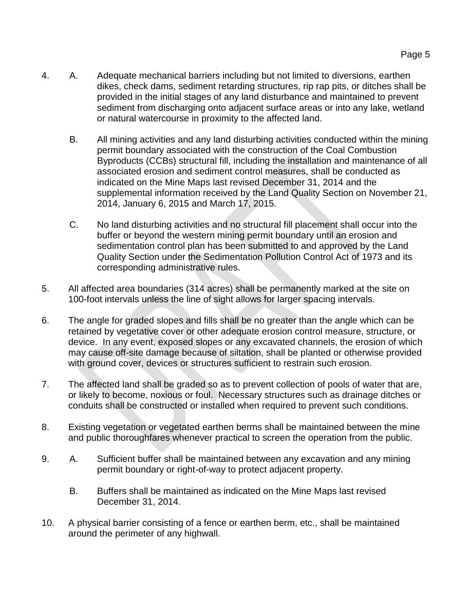- 4. A. Adequate mechanical barriers including but not limited to diversions, earthen dikes, check dams, sediment retarding structures, rip rap pits, or ditches shall be provided in the initial stages of any land disturbance and maintained to prevent sediment from discharging onto adjacent surface areas or into any lake, wetland
	- B. All mining activities and any land disturbing activities conducted within the mining permit boundary associated with the construction of the Coal Combustion Byproducts (CCBs) structural fill, including the installation and maintenance of all associated erosion and sediment control measures, shall be conducted as indicated on the Mine Maps last revised December 31, 2014 and the supplemental information received by the Land Quality Section on November 21, 2014, January 6, 2015 and March 17, 2015.

or natural watercourse in proximity to the affected land.

- C. No land disturbing activities and no structural fill placement shall occur into the buffer or beyond the western mining permit boundary until an erosion and sedimentation control plan has been submitted to and approved by the Land Quality Section under the Sedimentation Pollution Control Act of 1973 and its corresponding administrative rules.
- 5. All affected area boundaries (314 acres) shall be permanently marked at the site on 100-foot intervals unless the line of sight allows for larger spacing intervals.
- 6. The angle for graded slopes and fills shall be no greater than the angle which can be retained by vegetative cover or other adequate erosion control measure, structure, or device. In any event, exposed slopes or any excavated channels, the erosion of which may cause off-site damage because of siltation, shall be planted or otherwise provided with ground cover, devices or structures sufficient to restrain such erosion.
- 7. The affected land shall be graded so as to prevent collection of pools of water that are, or likely to become, noxious or foul. Necessary structures such as drainage ditches or conduits shall be constructed or installed when required to prevent such conditions.
- 8. Existing vegetation or vegetated earthen berms shall be maintained between the mine and public thoroughfares whenever practical to screen the operation from the public.
- 9. A. Sufficient buffer shall be maintained between any excavation and any mining permit boundary or right-of-way to protect adjacent property.
	- B. Buffers shall be maintained as indicated on the Mine Maps last revised December 31, 2014.
- 10. A physical barrier consisting of a fence or earthen berm, etc., shall be maintained around the perimeter of any highwall.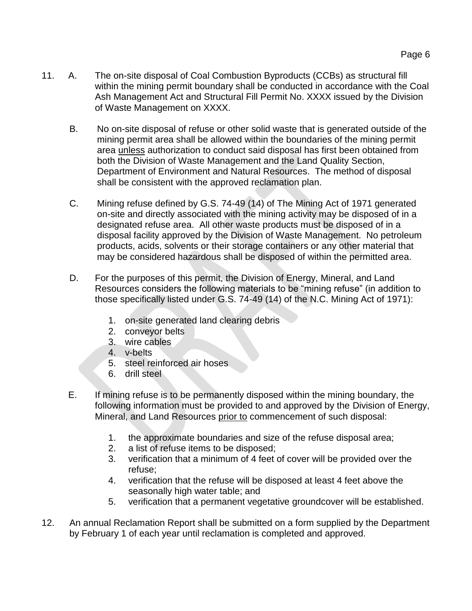- 11. A. The on-site disposal of Coal Combustion Byproducts (CCBs) as structural fill within the mining permit boundary shall be conducted in accordance with the Coal Ash Management Act and Structural Fill Permit No. XXXX issued by the Division of Waste Management on XXXX.
	- B. No on-site disposal of refuse or other solid waste that is generated outside of the mining permit area shall be allowed within the boundaries of the mining permit area unless authorization to conduct said disposal has first been obtained from both the Division of Waste Management and the Land Quality Section, Department of Environment and Natural Resources. The method of disposal shall be consistent with the approved reclamation plan.
	- C. Mining refuse defined by G.S. 74-49 (14) of The Mining Act of 1971 generated on-site and directly associated with the mining activity may be disposed of in a designated refuse area. All other waste products must be disposed of in a disposal facility approved by the Division of Waste Management. No petroleum products, acids, solvents or their storage containers or any other material that may be considered hazardous shall be disposed of within the permitted area.
	- D. For the purposes of this permit, the Division of Energy, Mineral, and Land Resources considers the following materials to be "mining refuse" (in addition to those specifically listed under G.S. 74-49 (14) of the N.C. Mining Act of 1971):
		- 1. on-site generated land clearing debris
		- 2. conveyor belts
		- 3. wire cables
		- 4. v-belts
		- 5. steel reinforced air hoses
		- 6. drill steel
	- E. If mining refuse is to be permanently disposed within the mining boundary, the following information must be provided to and approved by the Division of Energy, Mineral, and Land Resources prior to commencement of such disposal:
		- 1. the approximate boundaries and size of the refuse disposal area;
		- 2. a list of refuse items to be disposed;
		- 3. verification that a minimum of 4 feet of cover will be provided over the refuse;
		- 4. verification that the refuse will be disposed at least 4 feet above the seasonally high water table; and
		- 5. verification that a permanent vegetative groundcover will be established.
- 12. An annual Reclamation Report shall be submitted on a form supplied by the Department by February 1 of each year until reclamation is completed and approved.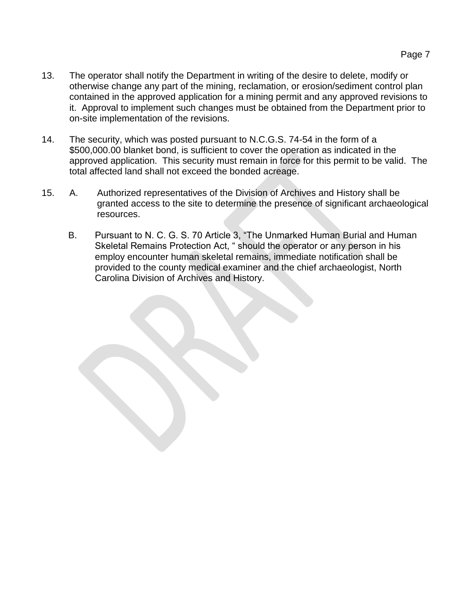- 13. The operator shall notify the Department in writing of the desire to delete, modify or otherwise change any part of the mining, reclamation, or erosion/sediment control plan contained in the approved application for a mining permit and any approved revisions to it. Approval to implement such changes must be obtained from the Department prior to on-site implementation of the revisions.
- 14. The security, which was posted pursuant to N.C.G.S. 74-54 in the form of a \$500,000.00 blanket bond, is sufficient to cover the operation as indicated in the approved application. This security must remain in force for this permit to be valid. The total affected land shall not exceed the bonded acreage.
- 15. A. Authorized representatives of the Division of Archives and History shall be granted access to the site to determine the presence of significant archaeological resources.
	- B. Pursuant to N. C. G. S. 70 Article 3, "The Unmarked Human Burial and Human Skeletal Remains Protection Act, " should the operator or any person in his employ encounter human skeletal remains, immediate notification shall be provided to the county medical examiner and the chief archaeologist, North Carolina Division of Archives and History.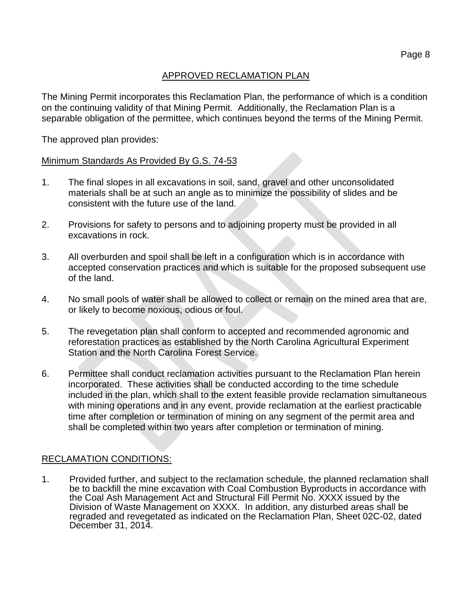## APPROVED RECLAMATION PLAN

The Mining Permit incorporates this Reclamation Plan, the performance of which is a condition on the continuing validity of that Mining Permit. Additionally, the Reclamation Plan is a separable obligation of the permittee, which continues beyond the terms of the Mining Permit.

The approved plan provides:

#### Minimum Standards As Provided By G.S. 74-53

- 1. The final slopes in all excavations in soil, sand, gravel and other unconsolidated materials shall be at such an angle as to minimize the possibility of slides and be consistent with the future use of the land.
- 2. Provisions for safety to persons and to adjoining property must be provided in all excavations in rock.
- 3. All overburden and spoil shall be left in a configuration which is in accordance with accepted conservation practices and which is suitable for the proposed subsequent use of the land.
- 4. No small pools of water shall be allowed to collect or remain on the mined area that are, or likely to become noxious, odious or foul.
- 5. The revegetation plan shall conform to accepted and recommended agronomic and reforestation practices as established by the North Carolina Agricultural Experiment Station and the North Carolina Forest Service.
- 6. Permittee shall conduct reclamation activities pursuant to the Reclamation Plan herein incorporated. These activities shall be conducted according to the time schedule included in the plan, which shall to the extent feasible provide reclamation simultaneous with mining operations and in any event, provide reclamation at the earliest practicable time after completion or termination of mining on any segment of the permit area and shall be completed within two years after completion or termination of mining.

### RECLAMATION CONDITIONS:

1. Provided further, and subject to the reclamation schedule, the planned reclamation shall be to backfill the mine excavation with Coal Combustion Byproducts in accordance with the Coal Ash Management Act and Structural Fill Permit No. XXXX issued by the Division of Waste Management on XXXX. In addition, any disturbed areas shall be regraded and revegetated as indicated on the Reclamation Plan, Sheet 02C-02, dated December 31, 2014.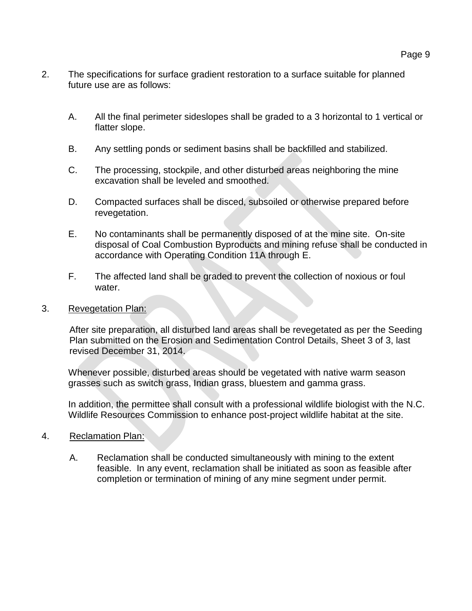- 2. The specifications for surface gradient restoration to a surface suitable for planned future use are as follows:
	- A. All the final perimeter sideslopes shall be graded to a 3 horizontal to 1 vertical or flatter slope.
	- B. Any settling ponds or sediment basins shall be backfilled and stabilized.
	- C. The processing, stockpile, and other disturbed areas neighboring the mine excavation shall be leveled and smoothed.
	- D. Compacted surfaces shall be disced, subsoiled or otherwise prepared before revegetation.
	- E. No contaminants shall be permanently disposed of at the mine site. On-site disposal of Coal Combustion Byproducts and mining refuse shall be conducted in accordance with Operating Condition 11A through E.
	- F. The affected land shall be graded to prevent the collection of noxious or foul water.

#### 3. Revegetation Plan:

After site preparation, all disturbed land areas shall be revegetated as per the Seeding Plan submitted on the Erosion and Sedimentation Control Details, Sheet 3 of 3, last revised December 31, 2014.

Whenever possible, disturbed areas should be vegetated with native warm season grasses such as switch grass, Indian grass, bluestem and gamma grass.

In addition, the permittee shall consult with a professional wildlife biologist with the N.C. Wildlife Resources Commission to enhance post-project wildlife habitat at the site.

### 4. Reclamation Plan:

A. Reclamation shall be conducted simultaneously with mining to the extent feasible. In any event, reclamation shall be initiated as soon as feasible after completion or termination of mining of any mine segment under permit.